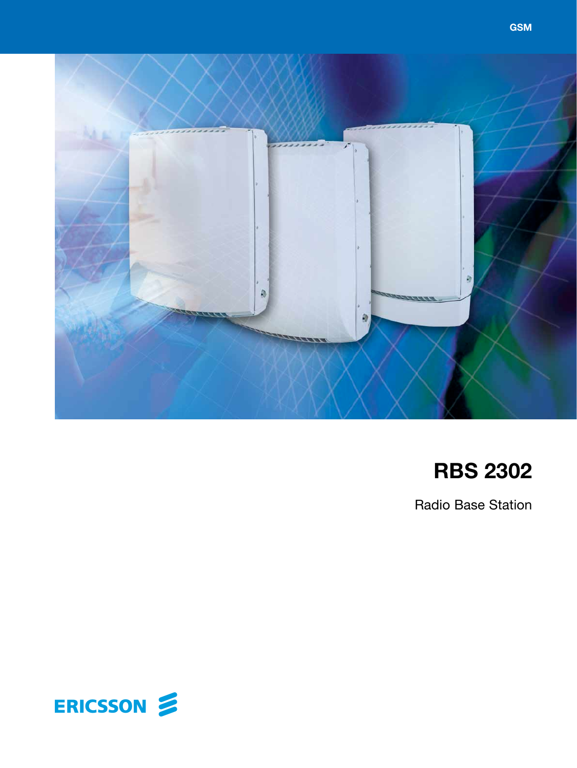

# **RBS 2302**

Radio Base Station

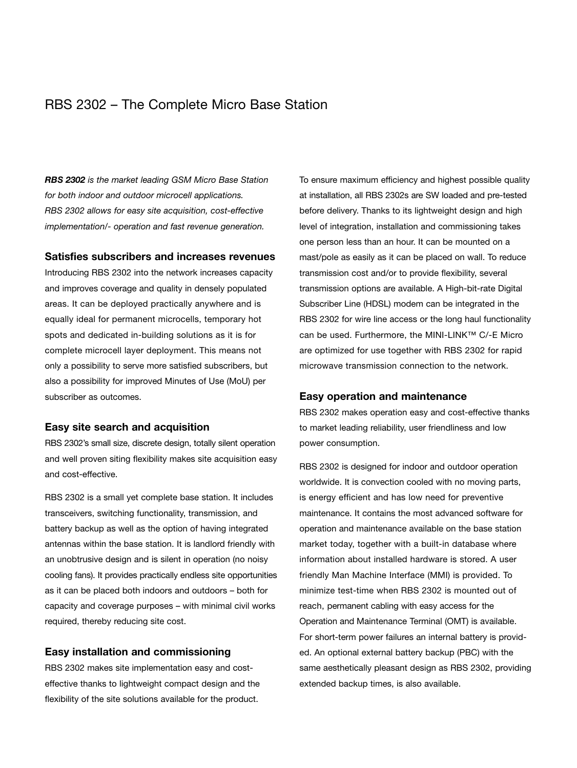# RBS 2302 – The Complete Micro Base Station

*RBS 2302 is the market leading GSM Micro Base Station for both indoor and outdoor microcell applications. RBS 2302 allows for easy site acquisition, cost-effective implementation/- operation and fast revenue generation.*

#### **Satisfies subscribers and increases revenues**

Introducing RBS 2302 into the network increases capacity and improves coverage and quality in densely populated areas. It can be deployed practically anywhere and is equally ideal for permanent microcells, temporary hot spots and dedicated in-building solutions as it is for complete microcell layer deployment. This means not only a possibility to serve more satisfied subscribers, but also a possibility for improved Minutes of Use (MoU) per subscriber as outcomes.

### **Easy site search and acquisition**

RBS 2302's small size, discrete design, totally silent operation and well proven siting flexibility makes site acquisition easy and cost-effective.

RBS 2302 is a small yet complete base station. It includes transceivers, switching functionality, transmission, and battery backup as well as the option of having integrated antennas within the base station. It is landlord friendly with an unobtrusive design and is silent in operation (no noisy cooling fans). It provides practically endless site opportunities as it can be placed both indoors and outdoors – both for capacity and coverage purposes – with minimal civil works required, thereby reducing site cost.

#### **Easy installation and commissioning**

RBS 2302 makes site implementation easy and costeffective thanks to lightweight compact design and the flexibility of the site solutions available for the product.

To ensure maximum efficiency and highest possible quality at installation, all RBS 2302s are SW loaded and pre-tested before delivery. Thanks to its lightweight design and high level of integration, installation and commissioning takes one person less than an hour. It can be mounted on a mast/pole as easily as it can be placed on wall. To reduce transmission cost and/or to provide flexibility, several transmission options are available. A High-bit-rate Digital Subscriber Line (HDSL) modem can be integrated in the RBS 2302 for wire line access or the long haul functionality can be used. Furthermore, the MINI-LINK™ C/-E Micro are optimized for use together with RBS 2302 for rapid microwave transmission connection to the network.

#### **Easy operation and maintenance**

RBS 2302 makes operation easy and cost-effective thanks to market leading reliability, user friendliness and low power consumption.

RBS 2302 is designed for indoor and outdoor operation worldwide. It is convection cooled with no moving parts, is energy efficient and has low need for preventive maintenance. It contains the most advanced software for operation and maintenance available on the base station market today, together with a built-in database where information about installed hardware is stored. A user friendly Man Machine Interface (MMI) is provided. To minimize test-time when RBS 2302 is mounted out of reach, permanent cabling with easy access for the Operation and Maintenance Terminal (OMT) is available. For short-term power failures an internal battery is provided. An optional external battery backup (PBC) with the same aesthetically pleasant design as RBS 2302, providing extended backup times, is also available.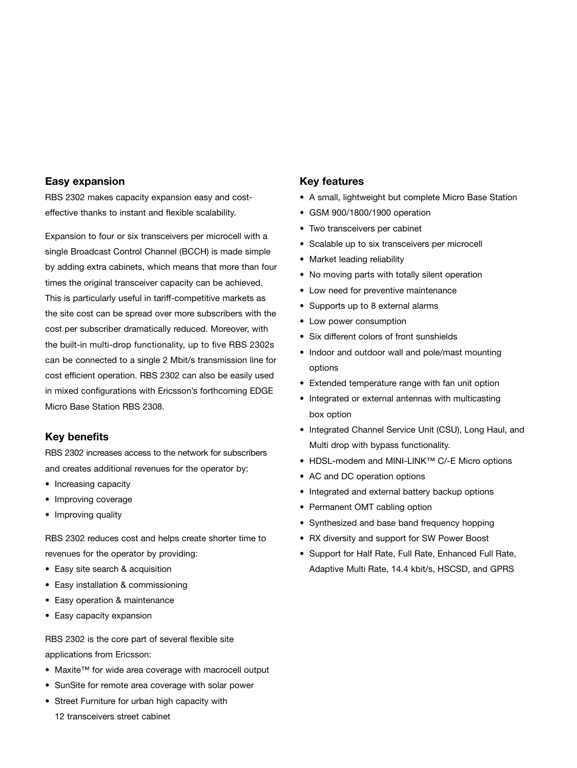## **Easy expansion**

RBS 2302 makes capacity expansion easy and costeffective thanks to instant and flexible scalability.

Expansion to four or six transceivers per microcell with a single Broadcast Control Channel (BCCH) is made simple by adding extra cabinets, which means that more than four times the original transceiver capacity can be achieved. This is particularly useful in tariff-competitive markets as the site cost can be spread over more subscribers with the cost per subscriber dramatically reduced. Moreover, with the built-in multi-drop functionality, up to five RBS 2302s can be connected to a single 2 Mbit/s transmission line for cost efficient operation. RBS 2302 can also be easily used in mixed configurations with Ericsson's forthcoming EDGE Micro Base Station RBS 2308.

## **Key benefits**

RBS 2302 increases access to the network for subscribers and creates additional revenues for the operator by:

- Increasing capacity
- Improving coverage
- Improving quality

RBS 2302 reduces cost and helps create shorter time to revenues for the operator by providing:

- Easy site search & acquisition
- Easy installation & commissioning
- Easy operation & maintenance
- Easy capacity expansion

RBS 2302 is the core part of several flexible site applications from Ericsson:

- Maxite™ for wide area coverage with macrocell output
- SunSite for remote area coverage with solar power
- Street Furniture for urban high capacity with 12 transceivers street cabinet

### **Key features**

- A small, lightweight but complete Micro Base Station
- GSM 900/1800/1900 operation
- Two transceivers per cabinet
- Scalable up to six transceivers per microcell
- Market leading reliability
- No moving parts with totally silent operation
- Low need for preventive maintenance
- Supports up to 8 external alarms
- Low power consumption
- Six different colors of front sunshields
- Indoor and outdoor wall and pole/mast mounting options
- Extended temperature range with fan unit option
- Integrated or external antennas with multicasting box option
- Integrated Channel Service Unit (CSU), Long Haul, and Multi drop with bypass functionality.
- HDSL-modem and MINI-LINK™ C/-E Micro options
- AC and DC operation options
- Integrated and external battery backup options
- Permanent OMT cabling option
- Synthesized and base band frequency hopping
- RX diversity and support for SW Power Boost
- Support for Half Rate, Full Rate, Enhanced Full Rate, Adaptive Multi Rate, 14.4 kbit/s, HSCSD, and GPRS